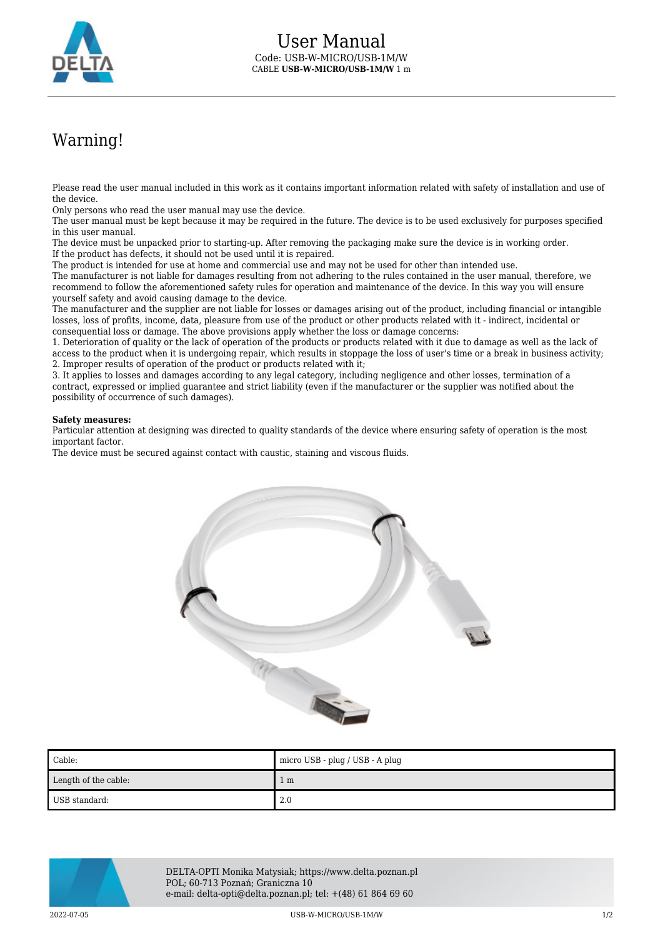

## Warning!

Please read the user manual included in this work as it contains important information related with safety of installation and use of the device.

Only persons who read the user manual may use the device.

The user manual must be kept because it may be required in the future. The device is to be used exclusively for purposes specified in this user manual.

The device must be unpacked prior to starting-up. After removing the packaging make sure the device is in working order. If the product has defects, it should not be used until it is repaired.

The product is intended for use at home and commercial use and may not be used for other than intended use.

The manufacturer is not liable for damages resulting from not adhering to the rules contained in the user manual, therefore, we recommend to follow the aforementioned safety rules for operation and maintenance of the device. In this way you will ensure yourself safety and avoid causing damage to the device.

The manufacturer and the supplier are not liable for losses or damages arising out of the product, including financial or intangible losses, loss of profits, income, data, pleasure from use of the product or other products related with it - indirect, incidental or consequential loss or damage. The above provisions apply whether the loss or damage concerns:

1. Deterioration of quality or the lack of operation of the products or products related with it due to damage as well as the lack of access to the product when it is undergoing repair, which results in stoppage the loss of user's time or a break in business activity; 2. Improper results of operation of the product or products related with it;

3. It applies to losses and damages according to any legal category, including negligence and other losses, termination of a contract, expressed or implied guarantee and strict liability (even if the manufacturer or the supplier was notified about the possibility of occurrence of such damages).

## **Safety measures:**

Particular attention at designing was directed to quality standards of the device where ensuring safety of operation is the most important factor.

The device must be secured against contact with caustic, staining and viscous fluids.



| Cable:               | micro USB - plug / USB - A plug |
|----------------------|---------------------------------|
| Length of the cable: | 1 m                             |
| USB standard:        | 2.0                             |



DELTA-OPTI Monika Matysiak; https://www.delta.poznan.pl POL; 60-713 Poznań; Graniczna 10 e-mail: delta-opti@delta.poznan.pl; tel: +(48) 61 864 69 60